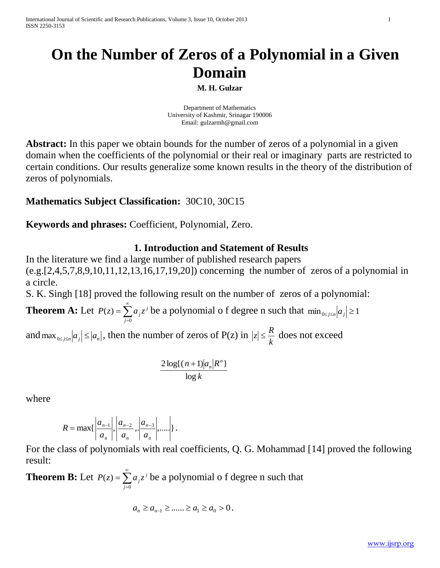# **On the Number of Zeros of a Polynomial in a Given Domain**

**M. H. Gulzar**

Department of Mathematics University of Kashmir, Srinagar 190006 Email: [gulzarmh@gmail.com](mailto:gulzarmh@gmail.com)

**Abstract:** In this paper we obtain bounds for the number of zeros of a polynomial in a given domain when the coefficients of the polynomial or their real or imaginary parts are restricted to certain conditions. Our results generalize some known results in the theory of the distribution of zeros of polynomials.

## **Mathematics Subject Classification:** 30C10, 30C15

**Keywords and phrases:** Coefficient, Polynomial, Zero.

### **1. Introduction and Statement of Results**

In the literature we find a large number of published research papers (e.g.[2,4,5,7,8,9,10,11,12,13,16,17,19,20]) concerning the number of zeros of a polynomial in a circle.

S. K. Singh [18] proved the following result on the number of zeros of a polynomial:

**Theorem A:** Let  $P(z) = \sum^{\infty}$  $=$  $=$ 0  $(z)$ *j*  $P(z) = \sum a_j z^j$  be a polynomial o f degree n such that  $\min_{0 \le j \le n} |a_j| \ge 1$ 

and  $\max_{0 \le j \le n} |a_j| \le |a_n|$ , then the number of zeros of P(z) in *k*  $|z| \leq \frac{R}{l}$  does not exceed

$$
\frac{2\log((n+1)|a_n|R^n)}{\log k}
$$

where

$$
R = \max\{\left|\frac{a_{n-1}}{a_n}\right|, \left|\frac{a_{n-2}}{a_n}, \left|\frac{a_{n-3}}{a_n}\right|, \dots\right|\}.
$$

For the class of polynomials with real coefficients, Q. G. Mohammad [14] proved the following result:

**Theorem B:** Let  $P(z) = \sum^{\infty}$ =  $=$ 0  $(z)$ *j*  $P(z) = \sum a_j z^j$  be a polynomial o f degree n such that

$$
a_n \ge a_{n-1} \ge \dots \ge a_1 \ge a_0 > 0.
$$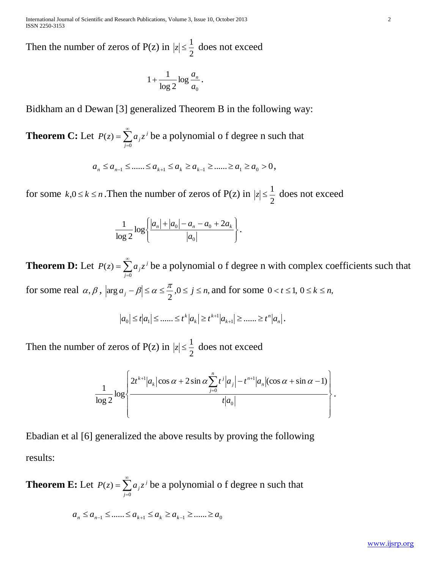International Journal of Scientific and Research Publications, Volume 3, Issue 10, October 2013 2 ISSN 2250-3153

Then the number of zeros of  $P(z)$  in 2  $|z| \leq \frac{1}{2}$  does not exceed

$$
1+\frac{1}{\log 2}\log\frac{a_n}{a_0}.
$$

Bidkham an d Dewan [3] generalized Theorem B in the following way:

**Theorem C:** Let 
$$
P(z) = \sum_{j=0}^{\infty} a_j z^j
$$
 be a polynomial of degree n such that

$$
a_n \le a_{n-1} \le \dots \le a_{k+1} \le a_k \ge a_{k-1} \ge \dots \ge a_1 \ge a_0 > 0
$$

for some  $k, 0 \le k \le n$ . Then the number of zeros of  $P(z)$  in 2  $|z| \leq \frac{1}{2}$  does not exceed

$$
\frac{1}{\log 2} \log \left\{ \frac{|a_n| + |a_0| - a_n - a_0 + 2a_k}{|a_0|} \right\}.
$$

**Theorem D:** Let  $P(z) = \sum^{\infty}$ =  $=$ 0  $(z)$ *j*  $P(z) = \sum a_j z^j$  be a polynomial o f degree n with complex coefficients such that for some real  $\alpha, \beta$ ,  $|\arg a_i - \beta| \leq \alpha \leq \frac{\pi}{2}, 0 \leq j \leq n$ ,  $\arg a_j - \beta \le \alpha \le \frac{\pi}{2}, 0 \le j \le n$ , and for some  $0 < t \le 1, 0 \le k \le n$ ,

$$
|a_0| \leq t |a_1| \leq \dots \leq t^k |a_k| \geq t^{k+1} |a_{k+1}| \geq \dots \geq t^n |a_n|.
$$

Then the number of zeros of  $P(z)$  in 2  $|z| \leq \frac{1}{2}$  does not exceed

$$
\frac{1}{\log 2} \log \left\{\frac{2t^{k+1} |a_k| \cos \alpha + 2 \sin \alpha \sum_{j=0}^n t^j |a_j| - t^{n+1} |a_n| (\cos \alpha + \sin \alpha - 1)}{t |a_0|}\right\}.
$$

Ebadian et al [6] generalized the above results by proving the following results:

**Theorem E:** Let  $P(z) = \sum^{\infty}$ =  $=$ 0  $(z)$ *j*  $P(z) = \sum a_j z^j$  be a polynomial o f degree n such that

$$
a_n \le a_{n-1} \le \dots \le a_{k+1} \le a_k \ge a_{k-1} \ge \dots \ge a_0
$$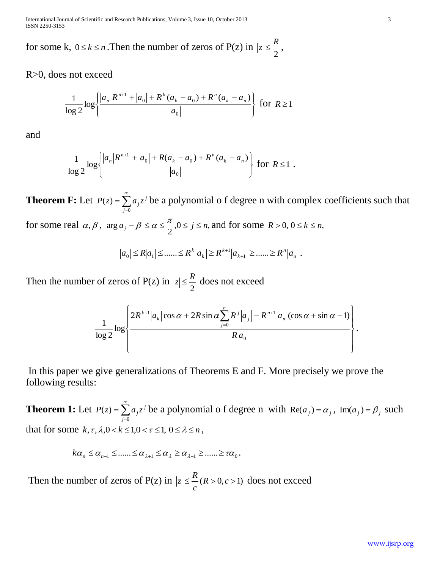International Journal of Scientific and Research Publications, Volume 3, Issue 10, October 2013 3 ISSN 2250-3153

for some k,  $0 \le k \le n$ . Then the number of zeros of P(z) in 2  $|z| \leq \frac{R}{2}$ ,

R>0, does not exceed

$$
\frac{1}{\log 2} \log \left\{ \frac{|a_n| R^{n+1} + |a_0| + R^k (a_k - a_0) + R^n (a_k - a_n)}{|a_0|} \right\}
$$
 for  $R \ge 1$ 

and

$$
\frac{1}{\log 2} \log \left\{ \frac{|a_n| R^{n+1} + |a_0| + R(a_k - a_0) + R^n(a_k - a_n)}{|a_0|} \right\} \text{ for } R \le 1 .
$$

**Theorem F:** Let  $P(z) = \sum^{\infty}$ =  $=$ 0  $(z)$ *j*  $P(z) = \sum a_j z^j$  be a polynomial o f degree n with complex coefficients such that for some real  $\alpha, \beta$ ,  $|\arg a_i - \beta| \leq \alpha \leq \frac{\pi}{2}, 0 \leq j \leq n$ ,  $\arg a_j - \beta \le \alpha \le \frac{\pi}{2}, 0 \le j \le n$ , and for some  $R > 0, 0 \le k \le n$ ,

$$
|a_0| \le R|a_1| \le \dots \le R^k |a_k| \ge R^{k+1} |a_{k+1}| \ge \dots \ge R^n |a_n|.
$$

Then the number of zeros of  $P(z)$  in 2  $|z| \leq \frac{R}{2}$  does not exceed

$$
\frac{1}{\log 2} \log \left\{\frac{2R^{k+1} |a_k| \cos \alpha + 2R \sin \alpha \sum_{j=0}^n R^j |a_j| - R^{n+1} |a_n| (\cos \alpha + \sin \alpha - 1)}{R |a_0|}\right\}
$$

In this paper we give generalizations of Theorems E and F. More precisely we prove the following results:

**Theorem 1:** Let  $P(z) = \sum^{\infty}$ =  $=$ 0  $(z)$ *j*  $P(z) = \sum a_j z^j$  be a polynomial o f degree n with  $\text{Re}(a_j) = a_j$ ,  $\text{Im}(a_j) = \beta_j$  such that for some  $k, \tau, \lambda, 0 < k \leq 1, 0 < \tau \leq 1, 0 \leq \lambda \leq n$ ,

$$
k\alpha_n \leq \alpha_{n-1} \leq \dots \leq \alpha_{\lambda+1} \leq \alpha_{\lambda} \geq \alpha_{\lambda-1} \geq \dots \geq \alpha_0.
$$

Then the number of zeros of  $P(z)$  in  $|z| \leq$ <sup>1</sup> $(R > 0, c > 1)$ *c*  $|z| \leq \frac{R}{R}$  (*R* > 0, *c* > 1) does not exceed .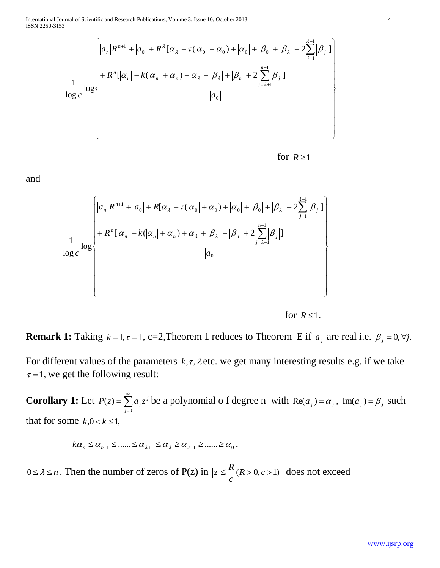International Journal of Scientific and Research Publications, Volume 3, Issue 10, October 2013 4 ISSN 2250-3153

$$
\frac{1}{\log c} \log \left\{\frac{|a_n|R^{n+1} + |a_0| + R^{\lambda}[\alpha_{\lambda} - \tau(|\alpha_0| + \alpha_0) + |\alpha_0| + |\beta_0| + |\beta_{\lambda}| + 2\sum_{j=1}^{\lambda-1}|\beta_j|]}{+ R^n[|\alpha_n| - k(|\alpha_n| + \alpha_n) + \alpha_{\lambda} + |\beta_{\lambda}| + |\beta_n| + 2\sum_{j=\lambda+1}^{n-1}|\beta_j|]}
$$
\n
$$
|a_0|
$$

 for for  $R \geq 1$ 

and

$$
\frac{1}{\log c} \log \left\{\frac{|a_n|R^{n+1} + |a_0| + R[\alpha_{\lambda} - \tau(|\alpha_0| + \alpha_0) + |\alpha_0| + |\beta_0| + |\beta_{\lambda}| + 2\sum_{j=1}^{\lambda-1} |\beta_j|]}{+R^n[|\alpha_n| - k(|\alpha_n| + \alpha_n) + \alpha_{\lambda} + |\beta_{\lambda}| + |\beta_n| + 2\sum_{j=\lambda+1}^{n-1} |\beta_j|]}
$$
\n
$$
\frac{|a_0|}{\log c} \right\}
$$

 for for  $R \leq 1$ .

**Remark 1:** Taking  $k = 1, \tau = 1$ , c=2,Theorem 1 reduces to Theorem E if  $a_j$  are real i.e.  $\beta_j = 0, \forall j$ .

For different values of the parameters  $k, \tau, \lambda$  etc. we get many interesting results e.g. if we take  $\tau = 1$ , we get the following result:

**Corollary 1:** Let  $P(z) = \sum^{\infty}$ =  $=$ 0  $(z)$ *j*  $P(z) = \sum a_j z^j$  be a polynomial o f degree n with  $\text{Re}(a_j) = a_j$ ,  $\text{Im}(a_j) = \beta_j$  such that for some  $k, 0 < k \leq 1$ ,

$$
k\alpha_n \leq \alpha_{n-1} \leq \dots \leq \alpha_{\lambda+1} \leq \alpha_{\lambda} \geq \alpha_{\lambda-1} \geq \dots \geq \alpha_0,
$$

 $0 \le \lambda \le n$ . Then the number of zeros of P(z) in  $|z| \le \Lambda$  ( $R > 0, c > 1$ ) *c*  $|z| \leq \frac{R}{R}$  (*R* > 0, *c* > 1) does not exceed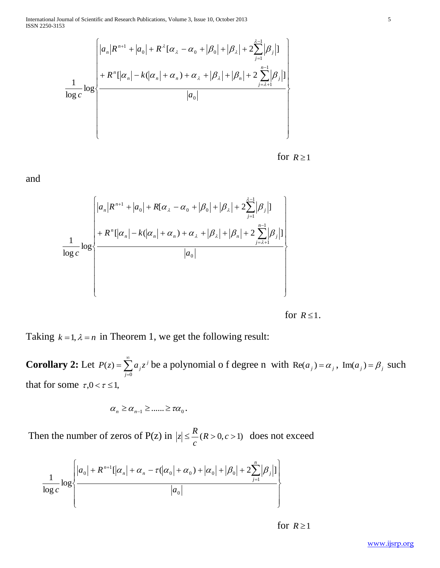$$
\frac{1}{\log c} \log \left\{\n\begin{aligned}\n & \left| a_n | R^{n+1} + \left| a_0 \right| + R^{\lambda} [\alpha_{\lambda} - \alpha_0 + |\beta_0| + |\beta_{\lambda}| + 2 \sum_{j=1}^{\lambda-1} |\beta_j| \right] \\
 & + R^n [\alpha_n| - k(|\alpha_n| + \alpha_n) + \alpha_{\lambda} + |\beta_{\lambda}| + |\beta_n| + 2 \sum_{j=\lambda+1}^{n-1} |\beta_j| \right] \\
 & |a_0|\n\end{aligned}\n\right\}
$$

 for for  $R \ge 1$ 

and

$$
\frac{1}{\log c} \log \left\{\n\begin{aligned}\n & \left| a_n |R^{n+1} + |a_0| + R[\alpha_{\lambda} - \alpha_0 + |\beta_0| + |\beta_{\lambda}| + 2 \sum_{j=1}^{\lambda-1} |\beta_j| \right] \\
 & + R^n[|\alpha_n| - k(|\alpha_n| + \alpha_n) + \alpha_{\lambda} + |\beta_{\lambda}| + |\beta_n| + 2 \sum_{j=\lambda+1}^{n-1} |\beta_j| \right] \\
 & |a_0|\n\end{aligned}\n\right\}
$$

 for for  $R \leq 1$ .

Taking  $k = 1, \lambda = n$  in Theorem 1, we get the following result:

**Corollary 2:** Let  $P(z) = \sum^{\infty}$ =  $=$ 0  $(z)$ *j*  $P(z) = \sum a_j z^j$  be a polynomial o f degree n with  $\text{Re}(a_j) = a_j$ ,  $\text{Im}(a_j) = \beta_j$  such that for some  $\tau, 0 < \tau \leq 1$ ,

$$
\alpha_n \geq \alpha_{n-1} \geq \dots \geq \tau \alpha_0.
$$

Then the number of zeros of P(z) in  $|z| \leq$ <sup>1</sup> (R > 0, c > 1) *c*  $|z| \leq \frac{R}{R}$  (*R* > 0, *c* > 1) does not exceed

$$
\frac{1}{\log c} \log \left\{\frac{|a_0| + R^{n+1}[\alpha_n] + \alpha_n - \tau(|\alpha_0| + \alpha_0) + |\alpha_0| + |\beta_0| + 2\sum_{j=1}^n |\beta_j|]}{|a_0|}\right\}
$$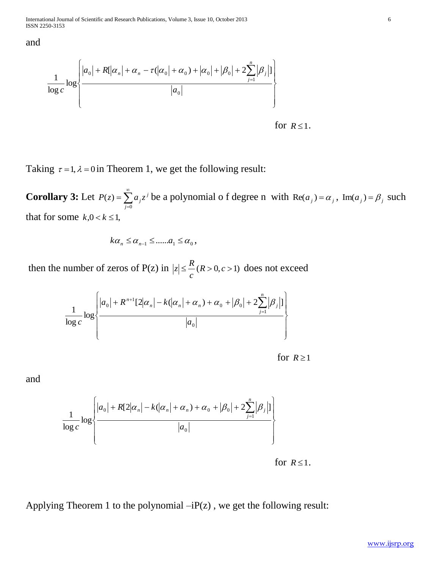and

$$
\frac{1}{\log c} \log \left\{ \frac{|a_0| + R[|\alpha_n| + \alpha_n - \tau(|\alpha_0| + \alpha_0) + |\alpha_0| + |\beta_0| + 2 \sum_{j=1}^n |\beta_j|]}{|a_0|} \right\}
$$

 for for  $R \leq 1$ .

Taking  $\tau = 1$ ,  $\lambda = 0$  in Theorem 1, we get the following result:

**Corollary 3:** Let  $P(z) = \sum^{\infty}$ =  $=$ 0  $(z)$ *j*  $P(z) = \sum a_j z^j$  be a polynomial o f degree n with  $\text{Re}(a_j) = a_j$ ,  $\text{Im}(a_j) = \beta_j$  such that for some  $k, 0 < k \leq 1$ ,

$$
k\alpha_n \leq \alpha_{n-1} \leq \dots \ldots \alpha_1 \leq \alpha_0,
$$

then the number of zeros of P(z) in  $|z| \leq$ <sup>*n*</sup> $(R > 0, c > 1)$ *c*  $|z| \leq \frac{R}{R}$  (*R* > 0, *c* > 1) does not exceed

$$
\frac{1}{\log c} \log \left\{ \frac{|a_0| + R^{n+1}[2|\alpha_n| - k(|\alpha_n| + \alpha_n) + \alpha_0 + |\beta_0| + 2\sum_{j=1}^n |\beta_j|]}{|a_0|} \right\}
$$

 for for  $R \ge 1$ 

and

$$
\frac{1}{\log c} \log \left\{\frac{|a_0| + R[2|\alpha_n| - k(|\alpha_n| + \alpha_n) + \alpha_0 + |\beta_0| + 2\sum_{j=1}^n |\beta_j|)}{|a_0|}\right\}
$$

 for for  $R \leq 1$ .

Applying Theorem 1 to the polynomial  $-iP(z)$ , we get the following result: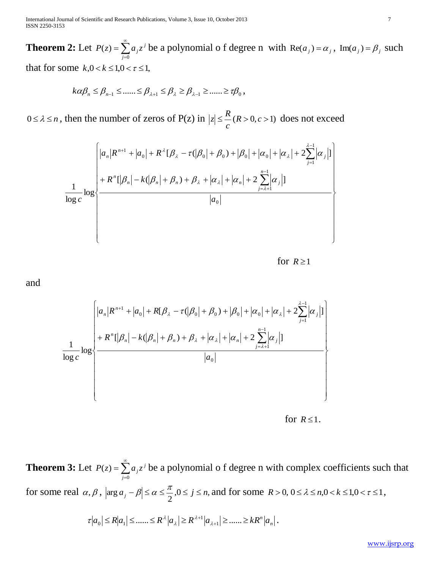International Journal of Scientific and Research Publications, Volume 3, Issue 10, October 2013 7 ISSN 2250-3153

**Theorem 2:** Let  $P(z) = \sum^{\infty}$ =  $=$ 0  $(z)$ *j*  $P(z) = \sum a_j z^j$  be a polynomial o f degree n with  $\text{Re}(a_j) = a_j$ ,  $\text{Im}(a_j) = \beta_j$  such that for some  $k, 0 < k \leq 1, 0 < \tau \leq 1$ ,

$$
k\alpha\beta_n \leq \beta_{n-1} \leq \dots \leq \beta_{\lambda+1} \leq \beta_{\lambda} \geq \beta_{\lambda-1} \geq \dots \geq \tau\beta_0,
$$

 $0 \le \lambda \le n$ , then the number of zeros of P(z) in  $|z| \le \frac{\Lambda}{\Lambda}$  ( $R > 0, c > 1$ ) *c*  $|z| \leq \frac{R}{R}$  (*R* > 0, *c* > 1) does not exceed

$$
\frac{1}{\log c} \log \left\{\n\begin{aligned}\n & \left| a_n | R^{n+1} + \left| a_0 \right| + R^{\lambda} [\beta_{\lambda} - \tau (\left| \beta_0 \right| + \left| \beta_0 \right) + \left| \beta_0 \right| + \left| \alpha_0 \right| + \left| \alpha_{\lambda} \right| + 2 \sum_{j=1}^{\lambda-1} \left| \alpha_j \right| \right] \\
 & + R^n [\left| \beta_n \right| - k(\left| \beta_n \right| + \beta_n) + \beta_{\lambda} + \left| \alpha_{\lambda} \right| + \left| \alpha_n \right| + 2 \sum_{j=\lambda+1}^{n-1} \left| \alpha_j \right| \right] \\
 & \left| a_0 \right|\n\end{aligned}\n\right\}
$$

for 
$$
R \geq 1
$$

and

$$
\frac{1}{\log c} \log \left\{\n\begin{aligned}\n & \left| a_n | R^{n+1} + \left| a_0 \right| + R[\beta_\lambda - \tau(|\beta_0| + \beta_0) + |\beta_0| + \left| \alpha_0 \right| + \left| \alpha_\lambda \right| + 2 \sum_{j=1}^{\lambda-1} \left| \alpha_j \right| \right] \\
 & + R^n[|\beta_n| - k(|\beta_n| + \beta_n) + \beta_\lambda + |\alpha_\lambda| + |\alpha_n| + 2 \sum_{j=\lambda+1}^{n-1} \left| \alpha_j \right|]\n & \left| a_0 \right|\n\end{aligned}\n\right\}
$$

 for for  $R \leq 1$ .

**Theorem 3:** Let  $P(z) = \sum^{\infty}$ =  $=$ 0  $(z)$ *j*  $P(z) = \sum a_j z^j$  be a polynomial o f degree n with complex coefficients such that for some real  $\alpha, \beta$ ,  $|\arg a_i - \beta| \leq \alpha \leq \frac{\pi}{2}, 0 \leq j \leq n$ ,  $\arg a_j - \beta \le \alpha \le \frac{\pi}{2}, 0 \le j \le n$ , and for some  $R > 0, 0 \le \lambda \le n, 0 < k \le 1, 0 < \tau \le 1$ , *n*  $a_0 \le R |a_1| \le \dots \le R^{\lambda} |a_{\lambda}| \ge R^{\lambda+1} |a_{\lambda+1}| \ge \dots \ge R^{\lambda} |a_{\lambda+1}|$  $|0_0| \le R|a_1| \le \dots \le R^{\lambda} |a_{\lambda}| \ge R^{\lambda+1} |a_{\lambda}|$ λ  $\tau |a_0| \le R |a_1| \le \dots \le R^{\lambda} |a_{\lambda}| \ge R^{\lambda+1} |a_{\lambda+1}| \ge \dots \ge R^{\lambda} |a_{n}|.$ 

www.ijsrp.org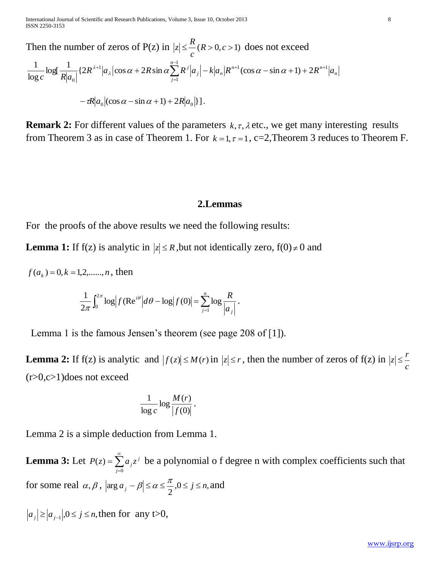Then the number of zeros of  $P(z)$  in  $|z| \leq$   $\frac{R}{R} > 0, c > 1$ *c*  $|z| \leq \frac{R}{R}$  (*R* > 0, *c* > 1) does not exceed *n*  $n+1$  (200  $\alpha$   $\sin \alpha + 1$ )  $2D^n$ *n n j*  $R^{\lambda+1} |a_{\lambda}| \cos \alpha + 2R \sin \alpha \sum R^j |a_j| - k|a_n|R^{n+1}(\cos \alpha - \sin \alpha + 1) + 2R^{n+1} |a|$  $c \stackrel{\sim}{\sim} R | a$  $\left\lceil \frac{1}{n} p^{j} \right\rceil_{\alpha} \left| \frac{1}{k} \right| \left| \frac{1}{n} p^{n+1} (\cos \alpha - \sin \alpha + 1) + 2 p^{n+1} \right|$ 1 1 0  $\log[\frac{1}{2^{n-1}}(2R^{\lambda+1}|a_{\lambda}|\cos\alpha+2R\sin\alpha\sum_{i=1}^{n-1}R^i|a_{\lambda}|-k|a_{\mu}|R^{n+1}(\cos\alpha-\sin\alpha+1)+2]$ log  $\frac{1}{1} \log \left| \frac{1}{1 - \left(2p^{\lambda+1} \right) \sin \left( \frac{x}{2p} \right)} \right| \leq \left| \frac{n-1}{2p} \right| \leq \left| \frac{1}{2p} \right| \left| \frac{1}{2p} \right| \leq \left| \frac{1}{2p} \right| \leq \left| \frac{1}{2p} \right| \leq \left| \frac{1}{2p} \right| \leq \left| \frac{1}{2p} \right| \leq \left| \frac{1}{2p} \right| \leq \left| \frac{1}{2p} \right| \leq \left| \frac{1}{2p} \right| \$  $=$  $^{(\lambda+1)}|a_{\lambda}|\cos\alpha+2R\sin\alpha\sum R^{j}|a_{j}| - k|a_{n}|R^{n+1}(\cos\alpha-\sin\alpha+1)+$  $-\tau R |a_0| (\cos \alpha - \sin \alpha + 1) + 2R |a_0|$ .

**Remark 2:** For different values of the parameters  $k, \tau, \lambda$  etc., we get many interesting results from Theorem 3 as in case of Theorem 1. For  $k = 1, \tau = 1, \tau = 2$ , Theorem 3 reduces to Theorem F.

#### **2.Lemmas**

For the proofs of the above results we need the following results:

**Lemma 1:** If  $f(z)$  is analytic in  $|z| \le R$ , but not identically zero,  $f(0) \ne 0$  and

 $f(a_k) = 0, k = 1, 2, \dots, n$ , then

$$
\frac{1}{2\pi}\int_0^{2\pi}\log \Bigl|f(\mathrm{Re}^{i\theta}\Bigl|d\theta-\log\Bigl|f(0)\Bigr|=\sum_{j=1}^n\log\frac{R}{\Bigl|a_j\Bigr|}\,.
$$

Lemma 1 is the famous Jensen's theorem (see page 208 of [1]).

**Lemma 2:** If f(z) is analytic and  $|f(z)| \leq M(r)$  in  $|z| \leq r$ , then the number of zeros of f(z) in *c*  $|z| \leq \frac{r}{2}$  $(r>0,c>1)$ does not exceed

$$
\frac{1}{\log c}\log \frac{M(r)}{|f(0)|}.
$$

Lemma 2 is a simple deduction from Lemma 1.

**Lemma 3:** Let  $P(z) = \sum^{\infty}$  $=$  $=$ 0  $(z)$ *j*  $P(z) = \sum a_j z^j$  be a polynomial o f degree n with complex coefficients such that for some real  $\alpha, \beta$ ,  $|\arg a_i - \beta| \leq \alpha \leq \frac{\pi}{2}, 0 \leq j \leq n$ ,  $\arg a_j - \beta \leq \alpha \leq \frac{\pi}{2}, 0 \leq j \leq n$ , and

 $a_j \geq |a_{j-1}|, 0 \leq j \leq n$ , then for any t>0,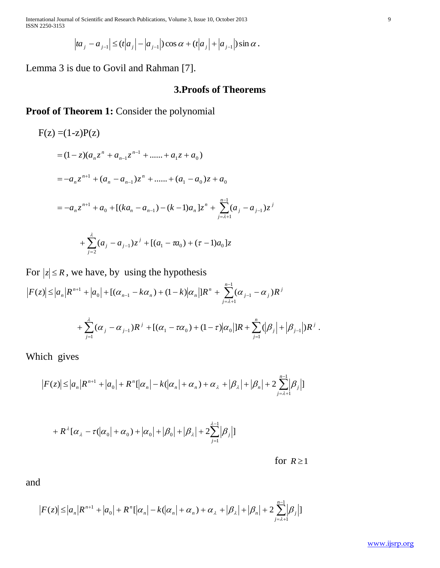International Journal of Scientific and Research Publications, Volume 3, Issue 10, October 2013 9 ISSN 2250-3153

$$
|ta_j - a_{j-1}| \le (t|a_j| - |a_{j-1}|) \cos \alpha + (t|a_j| + |a_{j-1}|) \sin \alpha.
$$

Lemma 3 is due to Govil and Rahman [7].

#### **3.Proofs of Theorems**

**Proof of Theorem 1:** Consider the polynomial

$$
F(z) = (1-z)P(z)
$$
  
=  $(1-z)(a_n z^n + a_{n-1} z^{n-1} + \dots + a_1 z + a_0)$   
=  $-a_n z^{n+1} + (a_n - a_{n-1}) z^n + \dots + (a_1 - a_0) z + a_0$   
=  $-a_n z^{n+1} + a_0 + [(ka_n - a_{n-1}) - (k-1)a_n] z^n + \sum_{j=\lambda+1}^{n-1} (a_j - a_{j-1}) z^j$   
+  $\sum_{j=2}^{\lambda} (a_j - a_{j-1}) z^j + [(a_1 - \pi a_0) + (\tau - 1)a_0] z$ 

For  $|z| \le R$ , we have, by using the hypothesis

 $\sum^{n-1}$  $=\lambda +$  $_{-1}$  -  $\kappa u_n$ ) + (1 -  $\kappa$ )| $u_n$ |J $\kappa$  +  $\sum (u_{j-1})$  $\leq |a_n|R^{n+1} + |a_0| + [(\alpha_{n-1} - k\alpha_n) + (1-k)|\alpha_n|]R^n + \sum_{i=1}^{n-1} (\alpha_{i-1} - k\alpha_n)$ 1  $\mathbb{C}[\mathfrak{m}]$   $\mathfrak{m}$   $\mathfrak{m}$   $\mathfrak{m}$   $\mathfrak{m}$   $\mathfrak{m}$   $\mathfrak{m}$   $\mathfrak{m}$   $\mathfrak{m}$   $\mathfrak{m}$   $\mathfrak{m}$   $\mathfrak{m}$   $\mathfrak{m}$   $\mathfrak{m}$   $\mathfrak{m}$   $\mathfrak{m}$   $\mathfrak{m}$   $\mathfrak{m}$   $\mathfrak{m}$   $\mathfrak{m}$   $\mathfrak{m}$   $\mathfrak$  $|f(z)| \leq |a_n|R^{n+1} + |a_0| + [(\alpha_{n-1} - k\alpha_n) + (1-k)|\alpha_n|]R^n + \sum_{i=1}^n (\alpha_{i-1} - \alpha_i)$ *n j j*  $j-1$   $\alpha_j$ *n*  $F(z) \le |a_n|R^{n+1} + |a_0| + [(a_{n-1} - k a_n) + (1-k)|a_n|]R^n + \sum_{i=\lambda+1} (a_{i-1} - a_i)R^n$  $\alpha_{n-1} - \kappa \alpha_{n-1} + (1 - \kappa) \alpha_{n-1} \kappa^{n-1} + \lambda (\alpha_{n-1} - \alpha)$  $+\sum_{j=1}^{N} (\alpha_j - \alpha_{j-1})R^j + [(\alpha_1 - \tau\alpha_0) + (1-\tau)]\alpha_0|]R + \sum_{j=1}^{N}$ - $=$  $+\sum_{i=1}^{n} (\alpha_i - \alpha_{i-1})R^i + [(\alpha_1 - \tau\alpha_0) + (1-\tau) | \alpha_0 |]R + \sum_{i=1}^{n} (|\beta_i| +$ *j*  $\mu_j$   $\top$   $\mu_j$ *j*  $\frac{1}{2}(\sigma_{i-1}R)^{i} + [(\alpha_1 - \tau\alpha_0) + (1-\tau)|\alpha_0|]R + \sum_{j}(\beta_j + |\beta_{j-1}|)R^{j-1}$ 1  $\mu_1 - \mu_0$  )  $\tau$  (1  $-\nu$  )  $\mu_0$  |  $\mu$  +  $\sum$  \ $|\nu_j|$  +  $|\nu_{j-1}|$ 1  $\sum_{i=1}^{\lambda}(\alpha_{j}-\alpha_{j-1})R^{j}+[(\alpha_{1}-\tau\alpha_{0})+(1-\tau)\big|\alpha_{0}\big|]R+\sum_{i=1}^{n}(\big|\beta_{j}\big|+ \big|\beta_{j-1}\big|)R^{j}\;.$ 

Which gives

$$
|F(z)| \le |a_n|R^{n+1} + |a_0| + R^n[|\alpha_n| - k(|\alpha_n| + \alpha_n) + \alpha_{\lambda} + |\beta_{\lambda}| + |\beta_n| + 2\sum_{j=\lambda+1}^{n-1} |\beta_j|]
$$

$$
+R^{\lambda}[\alpha_{\lambda}-\tau(\alpha_0]+\alpha_0)+|\alpha_0|+|\beta_0|+|\beta_{\lambda}|+2\sum_{j=1}^{\lambda-1}|\beta_j|]
$$

 for for  $R \ge 1$  *j*

and

$$
|F(z)| \le |a_n| R^{n+1} + |a_0| + R^n[|\alpha_n| - k(|\alpha_n| + \alpha_n) + \alpha_{\lambda} + |\beta_{\lambda}| + |\beta_n| + 2 \sum_{j=\lambda+1}^{n-1} |\beta_j|]
$$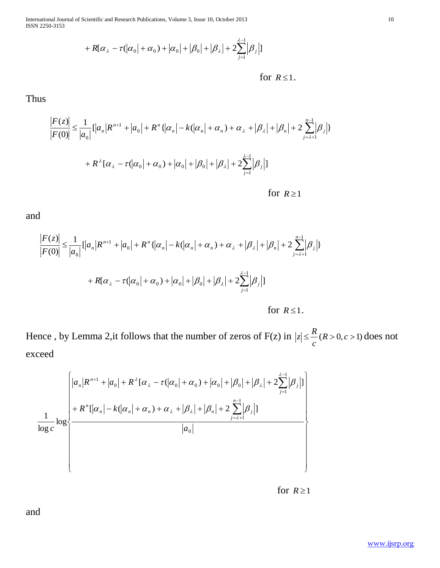International Journal of Scientific and Research Publications, Volume 3, Issue 10, October 2013 10 ISSN 2250-3153

$$
+ R[\alpha_{\lambda} - \tau(|\alpha_0| + \alpha_0) + |\alpha_0| + |\beta_0| + |\beta_{\lambda}| + 2 \sum_{j=1}^{\lambda-1} |\beta_j|]
$$

for 
$$
R \leq 1
$$
.

Thus

$$
\frac{|F(z)|}{|F(0)|} \le \frac{1}{|a_0|} [|a_n| R^{n+1} + |a_0| + R^n \{ |\alpha_n| - k(|\alpha_n| + \alpha_n) + \alpha_{\lambda} + |\beta_{\lambda}| + |\beta_n| + 2 \sum_{j=\lambda+1}^{n-1} |\beta_j| \}
$$
  
+  $R^{\lambda} [\alpha_{\lambda} - \tau(|\alpha_0| + \alpha_0) + |\alpha_0| + |\beta_0| + |\beta_{\lambda}| + 2 \sum_{j=1}^{\lambda-1} |\beta_j| ]$   
for  $R \ge 1$ 

and

$$
\frac{|F(z)|}{|F(0)|} \le \frac{1}{|a_0|} [|a_n| R^{n+1} + |a_0| + R^n \{ |\alpha_n| - k(|\alpha_n| + \alpha_n) + \alpha_{\lambda} + |\beta_{\lambda}| + |\beta_n| + 2 \sum_{j=\lambda+1}^{n-1} |\beta_j| \}
$$
  
+  $R[\alpha_{\lambda} - \tau(|\alpha_0| + \alpha_0) + |\alpha_0| + |\beta_0| + |\beta_{\lambda}| + 2 \sum_{j=1}^{\lambda-1} |\beta_j| ]$   
for  $R \le 1$ .

Hence, by Lemma 2, it follows that the number of zeros of  $F(z)$  in  $|z| \leq \frac{R}{R}$  ( $R > 0, c > 1$ ) *c*  $|z| \leq \frac{R}{R}$  (*R* > 0, *c* > 1) does not exceed

$$
\frac{1}{\log c} \log \left\{\n\begin{array}{l}\n|a_n|R^{n+1} + |a_0| + R^{\lambda}[\alpha_{\lambda} - \tau(|\alpha_0| + \alpha_0) + |\alpha_0| + |\beta_0| + |\beta_{\lambda}| + 2\sum_{j=1}^{\lambda-1} |\beta_j| \\
+ R^n[|\alpha_n| - k(|\alpha_n| + \alpha_n) + \alpha_{\lambda} + |\beta_{\lambda}| + |\beta_n| + 2\sum_{j=\lambda+1}^{n-1} |\beta_j|]\n\hline\na_0\n\end{array}\n\right\}
$$

 for for  $R \ge 1$ 

and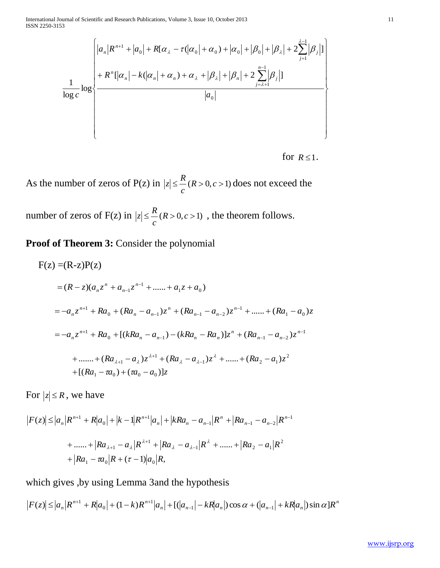International Journal of Scientific and Research Publications, Volume 3, Issue 10, October 2013 11 ISSN 2250-3153

$$
\frac{1}{\log c} \log \left\{\n\begin{aligned}\n & \left| a_n | R^{n+1} + \left| a_0 \right| + R[\alpha_\lambda - \tau(\left| \alpha_0 \right| + \alpha_0) + \left| \alpha_0 \right| + \left| \beta_0 \right| + \left| \beta_\lambda \right| + 2 \sum_{j=1}^{\lambda-1} \left| \beta_j \right| \right] \\
 & + R^n [\left| \alpha_n \right| - k(\left| \alpha_n \right| + \alpha_n) + \alpha_\lambda + \left| \beta_\lambda \right| + \left| \beta_n \right| + 2 \sum_{j=\lambda+1}^{n-1} \left| \beta_j \right|]\n & \left| a_0 \right|\n\end{aligned}\n\right\}
$$

 for for  $R \leq 1$ .

As the number of zeros of P(z) in  $|z| \leq$ <sup>n</sup> $(R > 0, c > 1)$ *c*  $|z| \leq \frac{R}{R}$  (*R* > 0, *c* > 1) does not exceed the

number of zeros of  $F(z)$  in  $|z| \leq \frac{R}{R}$  ( $R > 0, c > 1$ ) *c*  $|z| \leq \frac{R}{R}$  (*R* > 0, *c* > 1), the theorem follows.

**Proof of Theorem 3:** Consider the polynomial

$$
F(z) = (R-z)P(z)
$$
  
\n
$$
= (R-z)(a_n z^n + a_{n-1} z^{n-1} + \dots + a_1 z + a_0)
$$
  
\n
$$
= -a_n z^{n+1} + Ra_0 + (Ra_n - a_{n-1}) z^n + (Ra_{n-1} - a_{n-2}) z^{n-1} + \dots + (Ra_1 - a_0) z
$$
  
\n
$$
= -a_n z^{n+1} + Ra_0 + [(kRa_n - a_{n-1}) - (kRa_n - Ra_n)] z^n + (Ra_{n-1} - a_{n-2}) z^{n-1}
$$
  
\n
$$
+ \dots + (Ra_{\lambda+1} - a_\lambda) z^{\lambda+1} + (Ra_\lambda - a_{\lambda-1}) z^\lambda + \dots + (Ra_2 - a_1) z^2
$$
  
\n
$$
+ [(Ra_1 - ra_0) + (ra_0 - a_0)]z
$$

For  $|z| \le R$ , we have

$$
|F(z)| \le |a_n| R^{n+1} + R|a_0| + |k-1| R^{n+1} |a_n| + |k R a_n - a_{n-1}| R^n + |R a_{n-1} - a_{n-2}| R^{n-1}
$$
  
+ ..... +  $|R a_{\lambda+1} - a_{\lambda}| R^{\lambda+1} + |R a_{\lambda} - a_{\lambda-1}| R^{\lambda} + \dots + |R a_2 - a_1| R^2$   
+  $|R a_1 - a_0| R + (\tau - 1)|a_0|R$ ,

which gives ,by using Lemma 3and the hypothesis

which gives ,by using Lemma 3 and the hypothesis  
\n
$$
|F(z)| \le |a_n|R^{n+1} + R|a_0| + (1-k)R^{n+1}|a_n| + [(|a_{n-1}| - kR|a_n|)\cos\alpha + (|a_{n-1}| + kR|a_n|)\sin\alpha]R^n
$$

www.ijsrp.org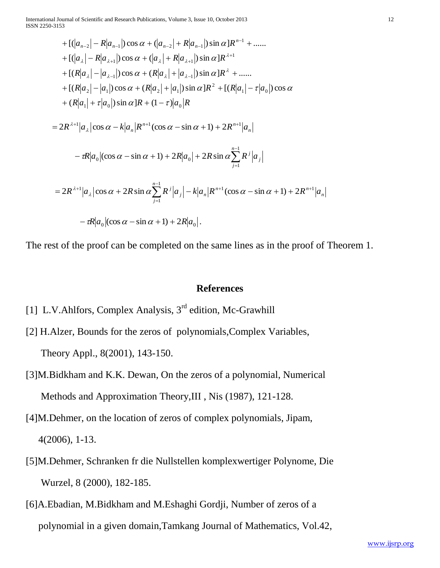International Journal of Scientific and Research Publications, Volume 3, Issue 10, October 2013 12 ISSN 2250-3153

+ 
$$
[(|a_{n-2}| - R|a_{n-1}|)\cos \alpha + (|a_{n-2}| + R|a_{n-1}|)\sin \alpha]R^{n-1} + \dots
$$
  
\n+  $[(|a_{\lambda}| - R|a_{\lambda+1}|)\cos \alpha + (|a_{\lambda}| + R|a_{\lambda+1}|)\sin \alpha]R^{\lambda+1}$   
\n+  $[(R|a_{\lambda}| - |a_{\lambda-1}|)\cos \alpha + (R|a_{\lambda}| + |a_{\lambda-1}|\sin \alpha]R^{\lambda} + \dots$   
\n+  $[(R|a_{2}| - |a_{1}|)\cos \alpha + (R|a_{2}| + |a_{1}|\sin \alpha]R^{\lambda} + [(R|a_{1}| - \tau|a_{0}|\cos \alpha + (R|a_{1}| + \tau|a_{0}|\sin \alpha]R + (1 - \tau)|a_{0}|R$   
\n=  $2R^{\lambda+1}|a_{\lambda}|\cos \alpha - k|a_{n}|R^{n+1}(\cos \alpha - \sin \alpha + 1) + 2R^{n+1}|a_{n}|$   
\n-  $\tau R|a_{0}|(\cos \alpha - \sin \alpha + 1) + 2R|a_{0}| + 2R \sin \alpha \sum_{j=1}^{n-1} R^{j}|a_{j}|$   
\n=  $2R^{\lambda+1}|a_{\lambda}|\cos \alpha + 2R \sin \alpha \sum_{j=1}^{n-1} R^{j}|a_{j}| - k|a_{n}|R^{n+1}(\cos \alpha - \sin \alpha + 1) + 2R^{n+1}|a_{n}|$   
\n-  $\tau R|a_{0}|(\cos \alpha - \sin \alpha + 1) + 2R|a_{0}|$ .

The rest of the proof can be completed on the same lines as in the proof of Theorem 1.

#### **References**

- [1] L.V.Ahlfors, Complex Analysis, 3<sup>rd</sup> edition, Mc-Grawhill
- [2] H.Alzer, Bounds for the zeros of polynomials,Complex Variables, Theory Appl., 8(2001), 143-150.
- [3]M.Bidkham and K.K. Dewan, On the zeros of a polynomial, Numerical Methods and Approximation Theory,III , Nis (1987), 121-128.
- [4]M.Dehmer, on the location of zeros of complex polynomials, Jipam, 4(2006), 1-13.
- [5]M.Dehmer, Schranken fr die Nullstellen komplexwertiger Polynome, Die Wurzel, 8 (2000), 182-185.
- [6]A.Ebadian, M.Bidkham and M.Eshaghi Gordji, Number of zeros of a polynomial in a given domain,Tamkang Journal of Mathematics, Vol.42,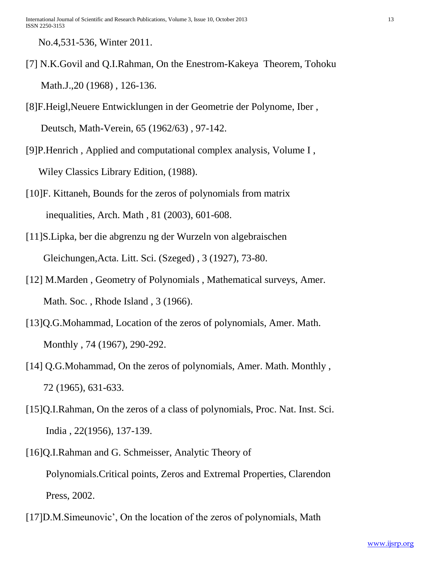No.4,531-536, Winter 2011.

- [7] N.K.Govil and Q.I.Rahman, On the Enestrom-Kakeya Theorem, Tohoku Math.J.,20 (1968), 126-136.
- [8]F.Heigl,Neuere Entwicklungen in der Geometrie der Polynome, Iber , Deutsch, Math-Verein, 65 (1962/63) , 97-142.
- [9]P.Henrich , Applied and computational complex analysis, Volume I , Wiley Classics Library Edition, (1988).
- [10]F. Kittaneh, Bounds for the zeros of polynomials from matrix inequalities, Arch. Math , 81 (2003), 601-608.
- [11]S.Lipka, ber die abgrenzu ng der Wurzeln von algebraischen Gleichungen,Acta. Litt. Sci. (Szeged) , 3 (1927), 73-80.
- [12] M.Marden , Geometry of Polynomials , Mathematical surveys, Amer. Math. Soc., Rhode Island, 3 (1966).
- [13]Q.G.Mohammad, Location of the zeros of polynomials, Amer. Math. Monthly , 74 (1967), 290-292.
- [14] Q.G.Mohammad, On the zeros of polynomials, Amer. Math. Monthly, 72 (1965), 631-633.
- [15]Q.I.Rahman, On the zeros of a class of polynomials, Proc. Nat. Inst. Sci. India , 22(1956), 137-139.
- [16]Q.I.Rahman and G. Schmeisser, Analytic Theory of Polynomials.Critical points, Zeros and Extremal Properties, Clarendon Press, 2002.
- [17]D.M.Simeunovic', On the location of the zeros of polynomials, Math